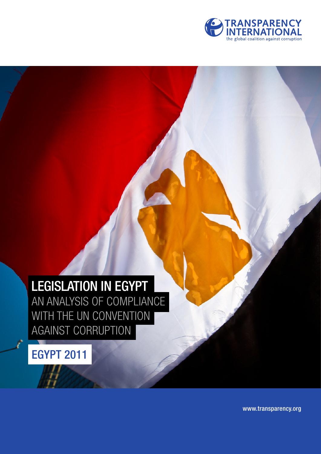

# LEGISLATION IN EGYPT

AN ANALYSIS OF COMPLIANCE WITH THE UN CONVENTION AGAINST CORRUPTION

EGYPT 2011

www.transparency.org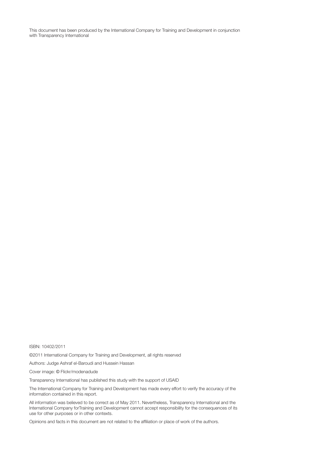This document has been produced by the International Company for Training and Development in conjunction with Transparency International

#### ISBN: 10402/2011

©2011 International Company for Training and Development, all rights reserved

Authors: Judge Ashraf el-Baroudi and Hussein Hassan

Cover image: © Flickr/modenadude

Transparency International has published this study with the support of USAID

The International Company for Training and Development has made every effort to verify the accuracy of the information contained in this report.

All information was believed to be correct as of May 2011. Nevertheless, Transparency International and the International Company forTraining and Development cannot accept responsibility for the consequences of its use for other purposes or in other contexts.

Opinions and facts in this document are not related to the affiliation or place of work of the authors.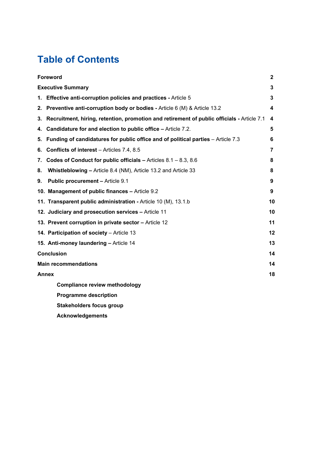## **Table of Contents**

|              | Foreword                                                                                   |    |
|--------------|--------------------------------------------------------------------------------------------|----|
|              | <b>Executive Summary</b>                                                                   |    |
|              | 1. Effective anti-corruption policies and practices - Article 5                            | 3  |
|              | 2. Preventive anti-corruption body or bodies - Article 6 (M) & Article 13.2                | 4  |
| 3.           | Recruitment, hiring, retention, promotion and retirement of public officials - Article 7.1 | 4  |
| 4.           | <b>Candidature for and election to public office - Article 7.2.</b>                        | 5  |
| 5.           | Funding of candidatures for public office and of political parties - Article 7.3           | 6  |
| 6.           | <b>Conflicts of interest</b> – Articles 7.4, 8.5                                           | 7  |
| 7.           | Codes of Conduct for public officials $-$ Articles 8.1 $-$ 8.3, 8.6                        | 8  |
| 8.           | Whistleblowing - Article 8.4 (NM), Article 13.2 and Article 33                             | 8  |
| 9.           | <b>Public procurement - Article 9.1</b>                                                    | 9  |
|              | 10. Management of public finances - Article 9.2                                            | 9  |
|              | 11. Transparent public administration - Article 10 (M), 13.1.b                             | 10 |
|              | 12. Judiciary and prosecution services - Article 11                                        | 10 |
|              | 13. Prevent corruption in private sector - Article 12                                      | 11 |
|              | 14. Participation of society - Article 13                                                  | 12 |
|              | 15. Anti-money laundering - Article 14                                                     | 13 |
|              | <b>Conclusion</b>                                                                          |    |
|              | <b>Main recommendations</b>                                                                |    |
| <b>Annex</b> |                                                                                            | 18 |
|              | <b>Compliance review methodology</b>                                                       |    |
|              | <b>Programme description</b>                                                               |    |
|              | <b>Stakeholders focus group</b>                                                            |    |
|              | <b>Acknowledgements</b>                                                                    |    |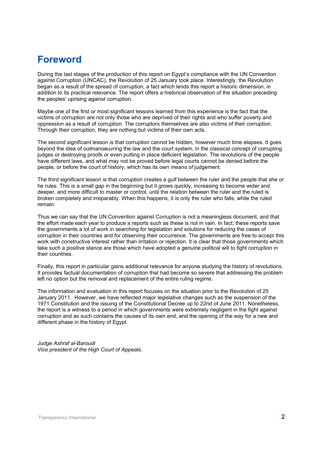### **Foreword**

During the last stages of the production of this report on Egypt's compliance with the UN Convention against Corruption (UNCAC), the Revolution of 25 January took place. Interestingly, the Revolution began as a result of the spread of corruption, a fact which lends this report a historic dimension, in addition to its practical relevance. The report offers a historical observation of the situation preceding the peoples' uprising against corruption.

Maybe one of the first or most significant lessons learned from this experience is the fact that the victims of corruption are not only those who are deprived of their rights and who suffer poverty and oppression as a result of corruption. The corruptors themselves are also victims of their corruption. Through their corruption, they are nothing but victims of their own acts.

The second significant lesson is that corruption cannot be hidden, however much time elapses. It goes beyond the idea of outmanoeuvring the law and the court system, in the classical concept of corrupting judges or destroying proofs or even putting in place deficient legislation. The revolutions of the people have different laws, and what may not be proved before legal courts cannot be denied before the people, or before the court of history, which has its own *means of* judgement.

The third significant lesson is that corruption creates a gulf between the ruler and the people that she or he rules. This is a small gap in the beginning but it grows quickly, increasing to become wider and deeper, and more difficult to master or control, until the relation between the ruler and the ruled is broken completely and irreparably. When this happens, it is only the ruler who falls, while the ruled remain.

Thus we can say that the UN Convention against Corruption is not a meaningless document, and that the effort made each year to produce a reports such as these is not in vain. In fact, these reports save the governments a lot of work in searching for legislation and solutions for reducing the cases of corruption in their countries and for observing their occurrence. The governments are free to accept this work with constructive interest rather than irritation or rejection. It is clear that those governments which take such a positive stance are those which have adopted a genuine political will to fight corruption in their countries.

Finally, this report in particular gains additional relevance for anyone studying the history of revolutions. It provides factual documentation of corruption that had become so severe that addressing the problem left no option but the removal and replacement of the entire ruling regime.

The information and evaluation in this report focuses on the situation prior to the Revolution of 25 January 2011. However, we have reflected major legislative changes such as the suspension of the 1971 Constitution and the issuing of the Constitutional Decree up to 22nd of June 2011. Nonetheless, the report is a witness to a period in which governments were extremely negligent in the fight against corruption and as such contains the causes of its own end, and the opening of the way for a new and different phase in the history of Egypt.

*Judge Ashraf al-Baroudi Vice president of the High Court of Appeals.*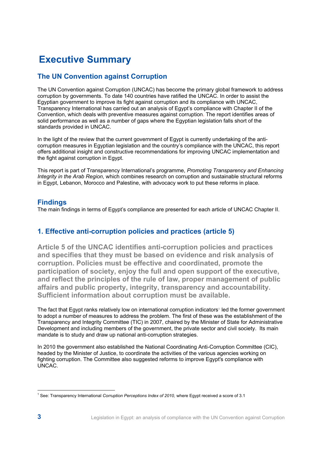### **Executive Summary**

### **The UN Convention against Corruption**

The UN Convention against Corruption (UNCAC) has become the primary global framework to address corruption by governments. To date 140 countries have ratified the UNCAC. In order to assist the Egyptian government to improve its fight against corruption and its compliance with UNCAC, Transparency International has carried out an analysis of Egypt's compliance with Chapter II of the Convention, which deals with preventive measures against corruption. The report identifies areas of solid performance as well as a number of gaps where the Egyptian legislation falls short of the standards provided in UNCAC.

In the light of the review that the current government of Egypt is currently undertaking of the anticorruption measures in Egyptian legislation and the country's compliance with the UNCAC, this report offers additional insight and constructive recommendations for improving UNCAC implementation and the fight against corruption in Egypt.

This report is part of Transparency International's programme, *Promoting Transparency and Enhancing Integrity in the Arab Region*, which combines research on corruption and sustainable structural reforms in Egypt, Lebanon, Morocco and Palestine, with advocacy work to put these reforms in place.

### **Findings**

The main findings in terms of Egypt's compliance are presented for each article of UNCAC Chapter II.

### **1. Effective anti-corruption policies and practices (article 5)**

**Article 5 of the UNCAC identifies anti-corruption policies and practices and specifies that they must be based on evidence and risk analysis of corruption. Policies must be effective and coordinated, promote the participation of society, enjoy the full and open support of the executive, and reflect the principles of the rule of law, proper management of public affairs and public property, integrity, transparency and accountability. Sufficient information about corruption must be available.** 

The fact that Egypt ranks relatively low on international corruption indicators<sup>ı</sup> led the former government to adopt a number of measures to address the problem. The first of these was the establishment of the Transparency and Integrity Committee (TIC) in 2007, chaired by the Minister of State for Administrative Development and including members of the government, the private sector and civil society. Its main mandate is to study and draw up national anti-corruption strategies.

In 2010 the government also established the National Coordinating Anti-Corruption Committee (CIC), headed by the Minister of Justice, to coordinate the activities of the various agencies working on fighting corruption. The Committee also suggested reforms to improve Egypt's compliance with UNCAC.

<sup>&</sup>lt;sup>1</sup> See: Transparency International *Corruption Perceptions Index of 2010*, where Egypt received a score of 3.1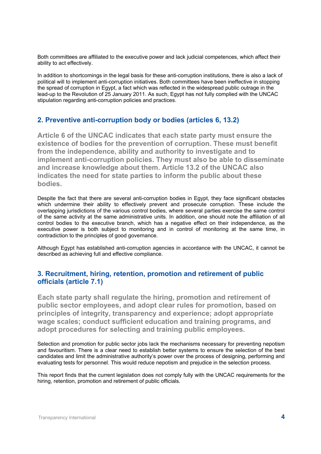Both committees are affiliated to the executive power and lack judicial competences, which affect their ability to act effectively.

In addition to shortcomings in the legal basis for these anti-corruption institutions, there is also a lack of political will to implement anti-corruption initiatives. Both committees have been ineffective in stopping the spread of corruption in Egypt, a fact which was reflected in the widespread public outrage in the lead-up to the Revolution of 25 January 2011. As such, Egypt has not fully complied with the UNCAC stipulation regarding anti-corruption policies and practices.

### **2. Preventive anti-corruption body or bodies (articles 6, 13.2)**

**Article 6 of the UNCAC indicates that each state party must ensure the existence of bodies for the prevention of corruption. These must benefit from the independence, ability and authority to investigate and to implement anti-corruption policies. They must also be able to disseminate and increase knowledge about them. Article 13.2 of the UNCAC also indicates the need for state parties to inform the public about these bodies.** 

Despite the fact that there are several anti-corruption bodies in Egypt, they face significant obstacles which undermine their ability to effectively prevent and prosecute corruption. These include the overlapping jurisdictions of the various control bodies, where several parties exercise the same control of the same activity at the same administrative units. In addition, one should note the affiliation of all control bodies to the executive branch, which has a negative effect on their independence, as the executive power is both subject to monitoring and in control of monitoring at the same time, in contradiction to the principles of good governance.

Although Egypt has established anti-corruption agencies in accordance with the UNCAC, it cannot be described as achieving full and effective compliance.

### **3. Recruitment, hiring, retention, promotion and retirement of public officials (article 7.1)**

**Each state party shall regulate the hiring, promotion and retirement of public sector employees, and adopt clear rules for promotion, based on principles of integrity, transparency and experience; adopt appropriate wage scales; conduct sufficient education and training programs, and adopt procedures for selecting and training public employees.** 

Selection and promotion for public sector jobs lack the mechanisms necessary for preventing nepotism and favouritism. There is a clear need to establish better systems to ensure the selection of the best candidates and limit the administrative authority's power over the process of designing, performing and evaluating tests for personnel. This would reduce nepotism and prejudice in the selection process.

This report finds that the current legislation does not comply fully with the UNCAC requirements for the hiring, retention, promotion and retirement of public officials.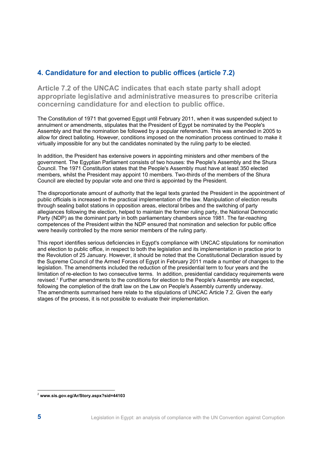### **4. Candidature for and election to public offices (article 7.2)**

**Article 7.2 of the UNCAC indicates that each state party shall adopt appropriate legislative and administrative measures to prescribe criteria concerning candidature for and election to public office.**

The Constitution of 1971 that governed Egypt until February 2011, when it was suspended subject to annulment or amendments, stipulates that the President of Egypt be nominated by the People's Assembly and that the nomination be followed by a popular referendum. This was amended in 2005 to allow for direct balloting. However, conditions imposed on the nomination process continued to make it virtually impossible for any but the candidates nominated by the ruling party to be elected.

In addition, the President has extensive powers in appointing ministers and other members of the government. The Egyptian Parliament consists of two houses: the People's Assembly and the Shura Council. The 1971 Constitution states that the People's Assembly must have at least 350 elected members, whilst the President may appoint 10 members. Two-thirds of the members of the Shura Council are elected by popular vote and one third is appointed by the President.

The disproportionate amount of authority that the legal texts granted the President in the appointment of public officials is increased in the practical implementation of the law. Manipulation of election results through sealing ballot stations in opposition areas, electoral bribes and the switching of party allegiances following the election, helped to maintain the former ruling party, the National Democratic Party (NDP) as the dominant party in both parliamentary chambers since 1981. The far-reaching competences of the President within the NDP ensured that nomination and selection for public office were heavily controlled by the more senior members of the ruling party.

This report identifies serious deficiencies in Egypt's compliance with UNCAC stipulations for nomination and election to public office, in respect to both the legislation and its implementation in practice prior to the Revolution of 25 January. However, it should be noted that the Constitutional Declaration issued by the Supreme Council of the Armed Forces of Egypt in February 2011 made a number of changes to the legislation. The amendments included the reduction of the presidential term to four years and the limitation of re-election to two consecutive terms. In addition, presidential candidacy requirements were revised.<sup>2</sup> Further amendments to the conditions for election to the People's Assembly are expected, following the completion of the draft law on the Law on People's Assembly currently underway. The amendments summarised here relate to the stipulations of UNCAC Article 7.2. Given the early stages of the process, it is not possible to evaluate their implementation.

<sup>2</sup> **www.sis.gov.eg/Ar/Story.aspx?sid=44103**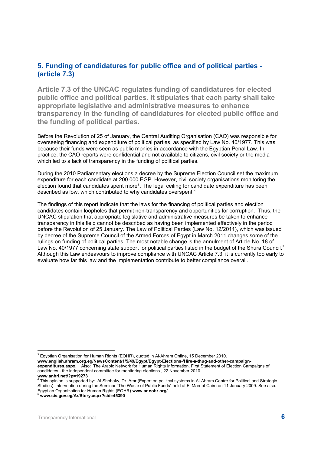### **5. Funding of candidatures for public office and of political parties - (article 7.3)**

**Article 7.3 of the UNCAC regulates funding of candidatures for elected public office and political parties. It stipulates that each party shall take appropriate legislative and administrative measures to enhance transparency in the funding of candidatures for elected public office and the funding of political parties.** 

Before the Revolution of 25 of January, the Central Auditing Organisation (CAO) was responsible for overseeing financing and expenditure of political parties, as specified by Law No. 40/1977. This was because their funds were seen as public monies in accordance with the Egyptian Penal Law. In practice, the CAO reports were confidential and not available to citizens, civil society or the media which led to a lack of transparency in the funding of political parties.

During the 2010 Parliamentary elections a decree by the Supreme Election Council set the maximum expenditure for each candidate at 200 000 EGP. However, civil society organisations monitoring the election found that candidates spent more $^{\textdegree}$ . The legal ceiling for candidate expenditure has been described as low, which contributed to why candidates overspent.<sup>4</sup>

The findings of this report indicate that the laws for the financing of political parties and election candidates contain loopholes that permit non-transparency and opportunities for corruption. Thus, the UNCAC stipulation that appropriate legislative and administrative measures be taken to enhance transparency in this field cannot be described as having been implemented effectively in the period before the Revolution of 25 January. The Law of Political Parties (Law No. 12/2011), which was issued by decree of the Supreme Council of the Armed Forces of Egypt in March 2011 changes some of the rulings on funding of political parties. The most notable change is the annulment of Article No. 18 of Law No. 40/1977 concerning state support for political parties listed in the budget of the Shura Council.<sup>5</sup> Although this Law endeavours to improve compliance with UNCAC Article 7.3, it is currently too early to evaluate how far this law and the implementation contribute to better compliance overall.

 $^3$  Egyptian Organisation for Human Rights (EOHR), quoted in Al-Ahram Online, 15 December 2010.

**www.english.ahram.org.eg/NewsContent/1/5/49/Egypt/Egypt-Elections-/Hire-a-thug-and-other-campaignexpenditures.aspx.** Also: The Arabic Network for Human Rights Information, First Statement of Election Campaigns of candidates - the independent committee for monitoring elections , 22 November 2010

**www.anhri.net/?p=19273**<br><sup>4</sup> This opinion is supported by: Al Shobaky, Dr. Amr (Expert on political systems in Al-Ahram Centre for Political and Strategic Studies): intervention during the Seminar "The Waste of Public Funds" held at El Marriot Cairo on 11 January 2009. See also: Egyptian Organization for Human Rights (EOHR) **www.ar.eohr.org/** <sup>5</sup> **www.sis.gov.eg/Ar/Story.aspx?sid=45390**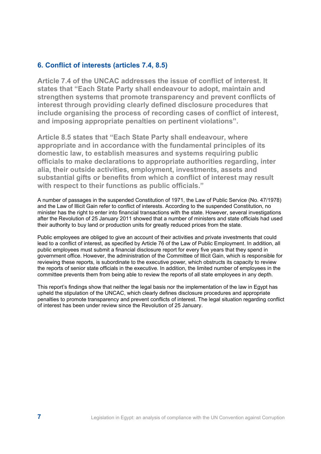### **6. Conflict of interests (articles 7.4, 8.5)**

**Article 7.4 of the UNCAC addresses the issue of conflict of interest. It states that "Each State Party shall endeavour to adopt, maintain and strengthen systems that promote transparency and prevent conflicts of interest through providing clearly defined disclosure procedures that include organising the process of recording cases of conflict of interest, and imposing appropriate penalties on pertinent violations".**

**Article 8.5 states that "Each State Party shall endeavour, where appropriate and in accordance with the fundamental principles of its domestic law, to establish measures and systems requiring public officials to make declarations to appropriate authorities regarding, inter alia, their outside activities, employment, investments, assets and substantial gifts or benefits from which a conflict of interest may result with respect to their functions as public officials."** 

A number of passages in the suspended Constitution of 1971, the Law of Public Service (No. 47/1978) and the Law of Illicit Gain refer to conflict of interests. According to the suspended Constitution, no minister has the right to enter into financial transactions with the state. However, several investigations after the Revolution of 25 January 2011 showed that a number of ministers and state officials had used their authority to buy land or production units for greatly reduced prices from the state.

Public employees are obliged to give an account of their activities and private investments that could lead to a conflict of interest, as specified by Article 76 of the Law of Public Employment. In addition, all public employees must submit a financial disclosure report for every five years that they spend in government office. However, the administration of the Committee of Illicit Gain, which is responsible for reviewing these reports, is subordinate to the executive power, which obstructs its capacity to review the reports of senior state officials in the executive. In addition, the limited number of employees in the committee prevents them from being able to review the reports of all state employees in any depth.

This report's findings show that neither the legal basis nor the implementation of the law in Egypt has upheld the stipulation of the UNCAC, which clearly defines disclosure procedures and appropriate penalties to promote transparency and prevent conflicts of interest. The legal situation regarding conflict of interest has been under review since the Revolution of 25 January.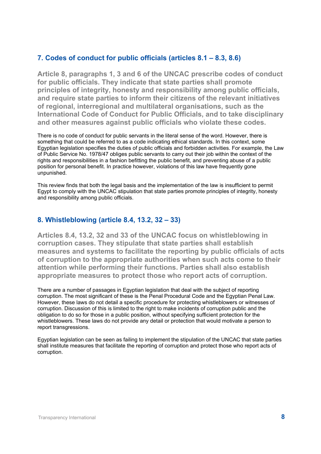### **7. Codes of conduct for public officials (articles 8.1 – 8.3, 8.6)**

**Article 8, paragraphs 1, 3 and 6 of the UNCAC prescribe codes of conduct for public officials. They indicate that state parties shall promote principles of integrity, honesty and responsibility among public officials, and require state parties to inform their citizens of the relevant initiatives of regional, interregional and multilateral organisations, such as the International Code of Conduct for Public Officials, and to take disciplinary and other measures against public officials who violate these codes.** 

There is no code of conduct for public servants in the literal sense of the word. However, there is something that could be referred to as a code indicating ethical standards. In this context, some Egyptian legislation specifies the duties of public officials and forbidden activities. For example, the Law of Public Service No. 1978/47 obliges public servants to carry out their job within the context of the rights and responsibilities in a fashion befitting the public benefit, and preventing abuse of a public position for personal benefit. In practice however, violations of this law have frequently gone unpunished.

This review finds that both the legal basis and the implementation of the law is insufficient to permit Egypt to comply with the UNCAC stipulation that state parties promote principles of integrity, honesty and responsibility among public officials.

### **8. Whistleblowing (article 8.4, 13.2, 32 – 33)**

**Articles 8.4, 13.2, 32 and 33 of the UNCAC focus on whistleblowing in corruption cases. They stipulate that state parties shall establish measures and systems to facilitate the reporting by public officials of acts of corruption to the appropriate authorities when such acts come to their attention while performing their functions. Parties shall also establish appropriate measures to protect those who report acts of corruption.** 

There are a number of passages in Egyptian legislation that deal with the subject of reporting corruption. The most significant of these is the Penal Procedural Code and the Egyptian Penal Law. However, these laws do not detail a specific procedure for protecting whistleblowers or witnesses of corruption. Discussion of this is limited to the right to make incidents of corruption public and the obligation to do so for those in a public position, without specifying sufficient protection for the whistleblowers. These laws do not provide any detail or protection that would motivate a person to report transgressions.

Egyptian legislation can be seen as failing to implement the stipulation of the UNCAC that state parties shall institute measures that facilitate the reporting of corruption and protect those who report acts of corruption.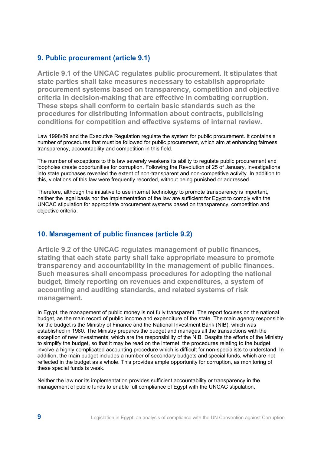### **9. Public procurement (article 9.1)**

**Article 9.1 of the UNCAC regulates public procurement. It stipulates that state parties shall take measures necessary to establish appropriate procurement systems based on transparency, competition and objective criteria in decision-making that are effective in combating corruption. These steps shall conform to certain basic standards such as the procedures for distributing information about contracts, publicising conditions for competition and effective systems of internal review.** 

Law 1998/89 and the Executive Regulation regulate the system for public procurement. It contains a number of procedures that must be followed for public procurement, which aim at enhancing fairness, transparency, accountability and competition in this field.

The number of exceptions to this law severely weakens its ability to regulate public procurement and loopholes create opportunities for corruption. Following the Revolution of 25 of January, investigations into state purchases revealed the extent of non-transparent and non-competitive activity. In addition to this, violations of this law were frequently recorded, without being punished or addressed.

Therefore, although the initiative to use internet technology to promote transparency is important, neither the legal basis nor the implementation of the law are sufficient for Egypt to comply with the UNCAC stipulation for appropriate procurement systems based on transparency, competition and objective criteria.

### **10. Management of public finances (article 9.2)**

**Article 9.2 of the UNCAC regulates management of public finances, stating that each state party shall take appropriate measure to promote transparency and accountability in the management of public finances. Such measures shall encompass procedures for adopting the national budget, timely reporting on revenues and expenditures, a system of accounting and auditing standards, and related systems of risk management.** 

In Egypt, the management of public money is not fully transparent. The report focuses on the national budget, as the main record of public income and expenditure of the state. The main agency responsible for the budget is the Ministry of Finance and the National Investment Bank (NIB), which was established in 1980. The Ministry prepares the budget and manages all the transactions with the exception of new investments, which are the responsibility of the NIB. Despite the efforts of the Ministry to simplify the budget, so that it may be read on the internet, the procedures relating to the budget involve a highly complicated accounting procedure which is difficult for non-specialists to understand. In addition, the main budget includes a number of secondary budgets and special funds, which are not reflected in the budget as a whole. This provides ample opportunity for corruption, as monitoring of these special funds is weak.

Neither the law nor its implementation provides sufficient accountability or transparency in the management of public funds to enable full compliance of Egypt with the UNCAC stipulation.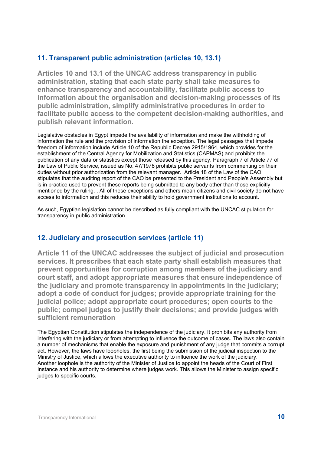### **11. Transparent public administration (articles 10, 13.1)**

**Articles 10 and 13.1 of the UNCAC address transparency in public administration, stating that each state party shall take measures to enhance transparency and accountability, facilitate public access to information about the organisation and decision-making processes of its public administration, simplify administrative procedures in order to facilitate public access to the competent decision-making authorities, and publish relevant information.**

Legislative obstacles in Egypt impede the availability of information and make the withholding of information the rule and the provision of information the exception. The legal passages that impede freedom of information include Article 10 of the Republic Decree 2915/1964, which provides for the establishment of the Central Agency for Mobilization and Statistics (CAPMAS) and prohibits the publication of any data or statistics except those released by this agency. Paragraph 7 of Article 77 of the Law of Public Service, issued as No. 47/1978 prohibits public servants from commenting on their duties without prior authorization from the relevant manager. Article 18 of the Law of the CAO stipulates that the auditing report of the CAO be presented to the President and People's Assembly but is in practice used to prevent these reports being submitted to any body other than those explicitly mentioned by the ruling. . All of these exceptions and others mean citizens and civil society do not have access to information and this reduces their ability to hold government institutions to account.

As such, Egyptian legislation cannot be described as fully compliant with the UNCAC stipulation for transparency in public administration.

### **12. Judiciary and prosecution services (article 11)**

**Article 11 of the UNCAC addresses the subject of judicial and prosecution services. It prescribes that each state party shall establish measures that prevent opportunities for corruption among members of the judiciary and court staff, and adopt appropriate measures that ensure independence of the judiciary and promote transparency in appointments in the judiciary; adopt a code of conduct for judges; provide appropriate training for the judicial police; adopt appropriate court procedures; open courts to the public; compel judges to justify their decisions; and provide judges with sufficient remuneration** 

The Egyptian Constitution stipulates the independence of the judiciary. It prohibits any authority from interfering with the judiciary or from attempting to influence the outcome of cases. The laws also contain a number of mechanisms that enable the exposure and punishment of any judge that commits a corrupt act. However, the laws have loopholes, the first being the submission of the judicial inspection to the Ministry of Justice, which allows the executive authority to influence the work of the judiciary. Another loophole is the authority of the Minister of Justice to appoint the heads of the Court of First Instance and his authority to determine where judges work. This allows the Minister to assign specific judges to specific courts.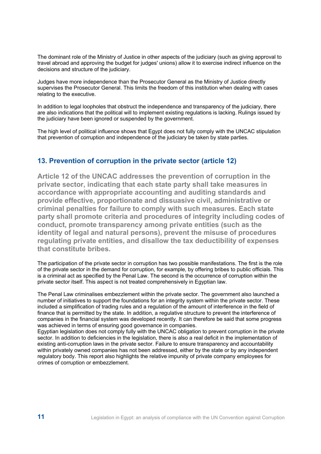The dominant role of the Ministry of Justice in other aspects of the judiciary (such as giving approval to travel abroad and approving the budget for judges' unions) allow it to exercise indirect influence on the decisions and structure of the judiciary.

Judges have more independence than the Prosecutor General as the Ministry of Justice directly supervises the Prosecutor General. This limits the freedom of this institution when dealing with cases relating to the executive.

In addition to legal loopholes that obstruct the independence and transparency of the judiciary, there are also indications that the political will to implement existing regulations is lacking. Rulings issued by the judiciary have been ignored or suspended by the government.

The high level of political influence shows that Egypt does not fully comply with the UNCAC stipulation that prevention of corruption and independence of the judiciary be taken by state parties.

### **13. Prevention of corruption in the private sector (article 12)**

**Article 12 of the UNCAC addresses the prevention of corruption in the private sector, indicating that each state party shall take measures in accordance with appropriate accounting and auditing standards and provide effective, proportionate and dissuasive civil, administrative or criminal penalties for failure to comply with such measures. Each state party shall promote criteria and procedures of integrity including codes of conduct, promote transparency among private entities (such as the identity of legal and natural persons), prevent the misuse of procedures regulating private entities, and disallow the tax deductibility of expenses that constitute bribes.** 

The participation of the private sector in corruption has two possible manifestations. The first is the role of the private sector in the demand for corruption, for example, by offering bribes to public officials. This is a criminal act as specified by the Penal Law. The second is the occurrence of corruption within the private sector itself. This aspect is not treated comprehensively in Egyptian law.

The Penal Law criminalises embezzlement within the private sector. The government also launched a number of initiatives to support the foundations for an integrity system within the private sector. These included a simplification of trading rules and a regulation of the amount of interference in the field of finance that is permitted by the state. In addition, a regulative structure to prevent the interference of companies in the financial system was developed recently. It can therefore be said that some progress was achieved in terms of ensuring good governance in companies.

Egyptian legislation does not comply fully with the UNCAC obligation to prevent corruption in the private sector. In addition to deficiencies in the legislation, there is also a real deficit in the implementation of existing anti-corruption laws in the private sector. Failure to ensure transparency and accountability within privately owned companies has not been addressed, either by the state or by any independent regulatory body. This report also highlights the relative impunity of private company employees for crimes of corruption or embezzlement.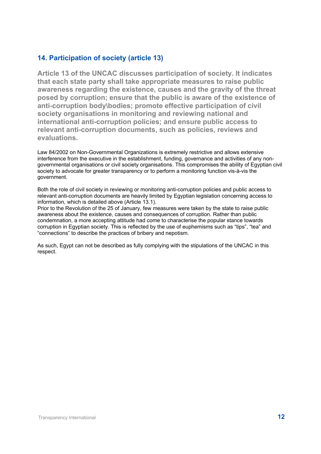### **14. Participation of society (article 13)**

**Article 13 of the UNCAC discusses participation of society. It indicates that each state party shall take appropriate measures to raise public awareness regarding the existence, causes and the gravity of the threat posed by corruption; ensure that the public is aware of the existence of anti-corruption body\bodies; promote effective participation of civil society organisations in monitoring and reviewing national and international anti-corruption policies; and ensure public access to relevant anti-corruption documents, such as policies, reviews and evaluations.** 

Law 84/2002 on Non-Governmental Organizations is extremely restrictive and allows extensive interference from the executive in the establishment, funding, governance and activities of any nongovernmental organisations or civil society organisations. This compromises the ability of Egyptian civil society to advocate for greater transparency or to perform a monitoring function vis-à-vis the government.

Both the role of civil society in reviewing or monitoring anti-corruption policies and public access to relevant anti-corruption documents are heavily limited by Egyptian legislation concerning access to information, which is detailed above (Article 13.1).

Prior to the Revolution of the 25 of January, few measures were taken by the state to raise public awareness about the existence, causes and consequences of corruption. Rather than public condemnation, a more accepting attitude had come to characterise the popular stance towards corruption in Egyptian society. This is reflected by the use of euphemisms such as "tips", "tea" and "connections" to describe the practices of bribery and nepotism.

As such, Egypt can not be described as fully complying with the stipulations of the UNCAC in this respect.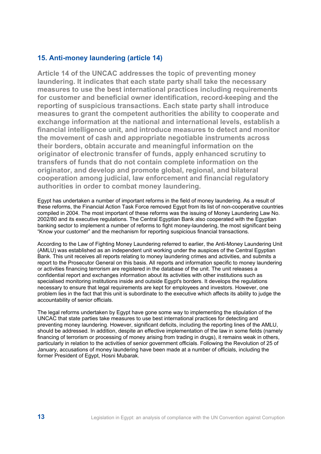### **15. Anti-money laundering (article 14)**

**Article 14 of the UNCAC addresses the topic of preventing money laundering. It indicates that each state party shall take the necessary measures to use the best international practices including requirements for customer and beneficial owner identification, record-keeping and the reporting of suspicious transactions. Each state party shall introduce measures to grant the competent authorities the ability to cooperate and exchange information at the national and international levels, establish a financial intelligence unit, and introduce measures to detect and monitor the movement of cash and appropriate negotiable instruments across their borders, obtain accurate and meaningful information on the originator of electronic transfer of funds, apply enhanced scrutiny to transfers of funds that do not contain complete information on the originator, and develop and promote global, regional, and bilateral cooperation among judicial, law enforcement and financial regulatory authorities in order to combat money laundering.** 

Egypt has undertaken a number of important reforms in the field of money laundering. As a result of these reforms, the Financial Action Task Force removed Egypt from its list of non-cooperative countries compiled in 2004. The most important of these reforms was the issuing of Money Laundering Law No. 2002/80 and its executive regulations. The Central Egyptian Bank also cooperated with the Egyptian banking sector to implement a number of reforms to fight money-laundering, the most significant being "Know your customer" and the mechanism for reporting suspicious financial transactions.

According to the Law of Fighting Money Laundering referred to earlier, the Anti-Money Laundering Unit (AMLU) was established as an independent unit working under the auspices of the Central Egyptian Bank. This unit receives all reports relating to money laundering crimes and activities, and submits a report to the Prosecutor General on this basis. All reports and information specific to money laundering or activities financing terrorism are registered in the database of the unit. The unit releases a confidential report and exchanges information about its activities with other institutions such as specialised monitoring institutions inside and outside Egypt's borders. It develops the regulations necessary to ensure that legal requirements are kept for employees and investors. However, one problem lies in the fact that this unit is subordinate to the executive which affects its ability to judge the accountability of senior officials.

The legal reforms undertaken by Egypt have gone some way to implementing the stipulation of the UNCAC that state parties take measures to use best international practices for detecting and preventing money laundering. However, significant deficits, including the reporting lines of the AMLU, should be addressed. In addition, despite an effective implementation of the law in some fields (namely financing of terrorism or processing of money arising from trading in drugs), it remains weak in others, particularly in relation to the activities of senior government officials. Following the Revolution of 25 of January, accusations of money laundering have been made at a number of officials, including the former President of Egypt, Hosni Mubarak.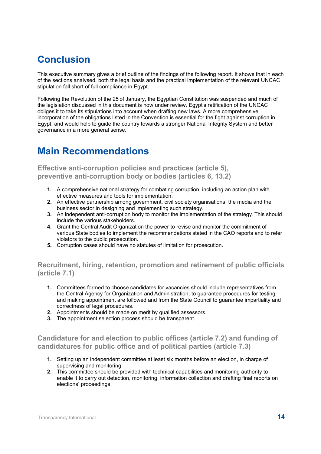### **Conclusion**

This executive summary gives a brief outline of the findings of the following report. It shows that in each of the sections analysed, both the legal basis and the practical implementation of the relevant UNCAC stipulation fall short of full compliance in Egypt.

Following the Revolution of the 25 of January, the Egyptian Constitution was suspended and much of the legislation discussed in this document is now under review. Egypt's ratification of the UNCAC obliges it to take its stipulations into account when drafting new laws. A more comprehensive incorporation of the obligations listed in the Convention is essential for the fight against corruption in Egypt, and would help to guide the country towards a stronger National Integrity System and better governance in a more general sense.

### **Main Recommendations**

### **Effective anti-corruption policies and practices (article 5), preventive anti-corruption body or bodies (articles 6, 13.2)**

- **1.** A comprehensive national strategy for combating corruption, including an action plan with effective measures and tools for implementation.
- **2.** An effective partnership among government, civil society organisations, the media and the business sector in designing and implementing such strategy.
- **3.** An independent anti-corruption body to monitor the implementation of the strategy. This should include the various stakeholders.
- **4.** Grant the Central Audit Organization the power to revise and monitor the commitment of various State bodies to implement the recommendations stated in the CAO reports and to refer violators to the public prosecution.
- **5.** Corruption cases should have no statutes of limitation for prosecution.

### **Recruitment, hiring, retention, promotion and retirement of public officials (article 7.1)**

- **1.** Committees formed to choose candidates for vacancies should include representatives from the Central Agency for Organization and Administration, to guarantee procedures for testing and making appointment are followed and from the State Council to guarantee impartiality and correctness of legal procedures.
- **2.** Appointments should be made on merit by qualified assessors.
- **3.** The appointment selection process should be transparent.

### **Candidature for and election to public offices (article 7.2) and funding of candidatures for public office and of political parties (article 7.3)**

- **1.** Setting up an independent committee at least six months before an election, in charge of supervising and monitoring.
- **2.** This committee should be provided with technical capabilities and monitoring authority to enable it to carry out detection, monitoring, information collection and drafting final reports on elections' proceedings.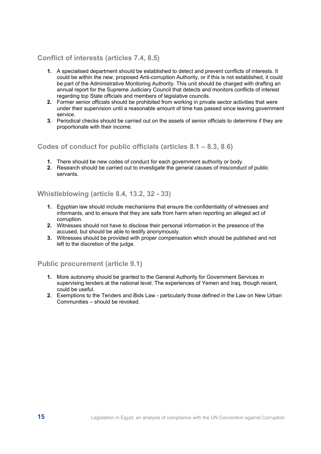### **Conflict of interests (articles 7.4, 8.5)**

- **1.** A specialised department should be established to detect and prevent conflicts of interests. It could be within the new, proposed Anti-corruption Authority, or if this is not established, it could be part of the Administrative Monitoring Authority. This unit should be charged with drafting an annual report for the Supreme Judiciary Council that detects and monitors conflicts of interest regarding top State officials and members of legislative councils.
- **2.** Former senior officials should be prohibited from working in private sector activities that were under their supervision until a reasonable amount of time has passed since leaving government service.
- **3.** Periodical checks should be carried out on the assets of senior officials to determine if they are proportionate with their income.

#### **Codes of conduct for public officials (articles 8.1 – 8.3, 8.6)**

- **1.** There should be new codes of conduct for each government authority or body.
- **2.** Research should be carried out to investigate the general causes of misconduct of public servants.

#### **Whistleblowing (article 8.4, 13.2, 32 - 33)**

- **1.** Egyptian law should include mechanisms that ensure the confidentiality of witnesses and informants, and to ensure that they are safe from harm when reporting an alleged act of corruption.
- **2.** Witnesses should not have to disclose their personal information in the presence of the accused, but should be able to testify anonymously.
- **3.** Witnesses should be provided with proper compensation which should be published and not left to the discretion of the judge.

**Public procurement (article 9.1)** 

- **1.** More autonomy should be granted to the General Authority for Government Services in supervising tenders at the national level. The experiences of Yemen and Iraq, though recent, could be useful.
- **2.** Exemptions to the Tenders and Bids Law particularly those defined in the Law on New Urban Communities – should be revoked.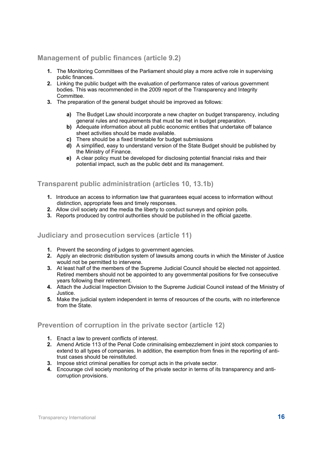### **Management of public finances (article 9.2)**

- **1.** The Monitoring Committees of the Parliament should play a more active role in supervising public finances.
- **2.** Linking the public budget with the evaluation of performance rates of various government bodies. This was recommended in the 2009 report of the Transparency and Integrity Committee.
- **3.** The preparation of the general budget should be improved as follows:
	- **a)** The Budget Law should incorporate a new chapter on budget transparency, including general rules and requirements that must be met in budget preparation.
	- **b)** Adequate information about all public economic entities that undertake off balance sheet activities should be made available.
	- **c)** There should be a fixed timetable for budget submissions
	- **d)** A simplified, easy to understand version of the State Budget should be published by the Ministry of Finance.
	- **e)** A clear policy must be developed for disclosing potential financial risks and their potential impact, such as the public debt and its management.

#### **Transparent public administration (articles 10, 13.1b)**

- **1.** Introduce an access to information law that guarantees equal access to information without distinction, appropriate fees and timely responses.
- **2.** Allow civil society and the media the liberty to conduct surveys and opinion polls.
- **3.** Reports produced by control authorities should be published in the official gazette.

#### **Judiciary and prosecution services (article 11)**

- **1.** Prevent the seconding of judges to government agencies.
- **2.** Apply an electronic distribution system of lawsuits among courts in which the Minister of Justice would not be permitted to intervene.
- **3.** At least half of the members of the Supreme Judicial Council should be elected not appointed. Retired members should not be appointed to any governmental positions for five consecutive years following their retirement.
- **4.** Attach the Judicial Inspection Division to the Supreme Judicial Council instead of the Ministry of Justice.
- **5.** Make the judicial system independent in terms of resources of the courts, with no interference from the State.

### **Prevention of corruption in the private sector (article 12)**

- **1.** Enact a law to prevent conflicts of interest.
- **2.** Amend Article 113 of the Penal Code criminalising embezzlement in joint stock companies to extend to all types of companies. In addition, the exemption from fines in the reporting of antitrust cases should be reinstituted.
- **3.** Impose strict criminal penalties for corrupt acts in the private sector.
- **4.** Encourage civil society monitoring of the private sector in terms of its transparency and anticorruption provisions.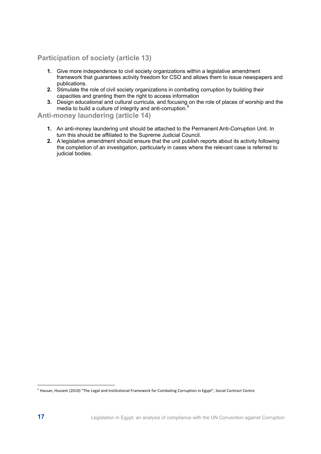### **Participation of society (article 13)**

- **1.** Give more independence to civil society organizations within a legislative amendment framework that guarantees activity freedom for CSO and allows them to issue newspapers and publications.
- **2.** Stimulate the role of civil society organizations in combating corruption by building their capacities and granting them the right to access information
- **3.** Design educational and cultural curricula, and focusing on the role of places of worship and the media to build a culture of integrity and anti-corruption.<sup>6</sup>

### **Anti-money laundering (article 14)**

- **1.** An anti-money laundering unit should be attached to the Permanent Anti-Corruption Unit. In turn this should be affiliated to the Supreme Judicial Council.
- **2.** A legislative amendment should ensure that the unit publish reports about its activity following the completion of an investigation, particularly in cases where the relevant case is referred to judicial bodies.

 $6$  Hassan, Hussein (2010) "The Legal and Institutional Framework for Combating Corruption in Egypt", Social Contract Centre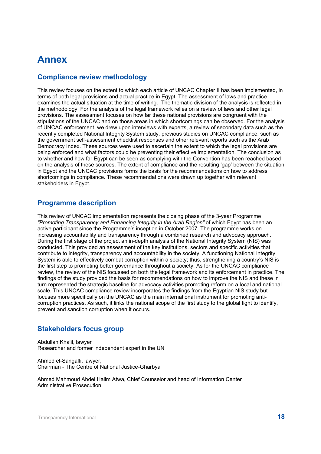### **Annex**

### **Compliance review methodology**

This review focuses on the extent to which each article of UNCAC Chapter II has been implemented, in terms of both legal provisions and actual practice in Egypt. The assessment of laws and practice examines the actual situation at the time of writing. The thematic division of the analysis is reflected in the methodology. For the analysis of the legal framework relies on a review of laws and other legal provisions. The assessment focuses on how far these national provisions are congruent with the stipulations of the UNCAC and on those areas in which shortcomings can be observed. For the analysis of UNCAC enforcement, we drew upon interviews with experts, a review of secondary data such as the recently completed National Integrity System study, previous studies on UNCAC compliance, such as the government self-assessment checklist responses and other relevant reports such as the Arab Democracy Index. These sources were used to ascertain the extent to which the legal provisions are being enforced and what factors could be preventing their effective implementation. The conclusion as to whether and how far Egypt can be seen as complying with the Convention has been reached based on the analysis of these sources. The extent of compliance and the resulting 'gap' between the situation in Egypt and the UNCAC provisions forms the basis for the recommendations on how to address shortcomings in compliance. These recommendations were drawn up together with relevant stakeholders in Egypt.

### **Programme description**

This review of UNCAC implementation represents the closing phase of the 3-year Programme *"Promoting Transparency and Enhancing Integrity in the Arab Region"* of which Egypt has been an active participant since the Programme's inception in October 2007. The programme works on increasing accountability and transparency through a combined research and advocacy approach. During the first stage of the project an in-depth analysis of the National Integrity System (NIS) was conducted. This provided an assessment of the key institutions, sectors and specific activities that contribute to integrity, transparency and accountability in the society. A functioning National Integrity System is able to effectively combat corruption within a society; thus, strengthening a country's NIS is the first step to promoting better governance throughout a society. As for the UNCAC compliance review, the review of the NIS focussed on both the legal framework and its enforcement in practice. The findings of the study provided the basis for recommendations on how to improve the NIS and these in turn represented the strategic baseline for advocacy activities promoting reform on a local and national scale. This UNCAC compliance review incorporates the findings from the Egyptian NIS study but focuses more specifically on the UNCAC as the main international instrument for promoting anticorruption practices. As such, it links the national scope of the first study to the global fight to identify, prevent and sanction corruption when it occurs.

### **Stakeholders focus group**

Abdullah Khalil, lawyer Researcher and former independent expert in the UN

Ahmed el-Sangafli, lawyer, Chairman - The Centre of National Justice-Gharbya

Ahmed Mahmoud Abdel Halim Atwa, Chief Counselor and head of Information Center Administrative Prosecution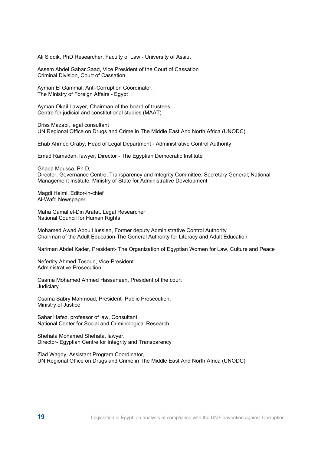Ali Siddik, PhD Researcher, Faculty of Law - University of Assiut

Assem Abdel Gabar Saad, Vice President of the Court of Cassation Criminal Division, Court of Cassation

Ayman El Gammal, Anti-Corruption Coordinator. The Ministry of Foreign Affairs - Egypt

Ayman Okail Lawyer, Chairman of the board of trustees, Centre for judicial and constitutional studies (MAAT)

Driss Mazabi, legal consultant UN Regional Office on Drugs and Crime in The Middle East And North Africa (UNODC)

Ehab Ahmed Oraby, Head of Legal Department - Administrative Control Authority

Emad Ramadan, lawyer, Director - The Egyptian Democratic Institute

Ghada Moussa, Ph.D, Director, Governance Centre; Transparency and Integrity Committee, Secretary General; National Management Institute; Ministry of State for Administrative Development

Magdi Helmi, Editor-in-chief Al-Wafd Newspaper

Maha Gamal el-Din Arafat, Legal Researcher National Council for Human Rights

Mohamed Awad Abou Hussien, Former deputy Administrative Control Authority Chairman of the Adult Education-The General Authority for Literacy and Adult Education

Nariman Abdel Kader, President- The Organization of Egyptian Women for Law, Culture and Peace

Nefertity Ahmed Tosoun, Vice-President Administrative Prosecution

Osama Mohamed Ahmed Hassaneen, President of the court **Judiciary** 

Osama Sabry Mahmoud, President- Public Prosecution, Ministry of Justice

Sahar Hafez, professor of law, Consultant National Center for Social and Criminological Research

Shehata Mohamed Shehata, lawyer, Director- Egyptian Centre for Integrity and Transparency

Ziad Wagdy, Assistant Program Coordinator, UN Regional Office on Drugs and Crime in The Middle East And North Africa (UNODC)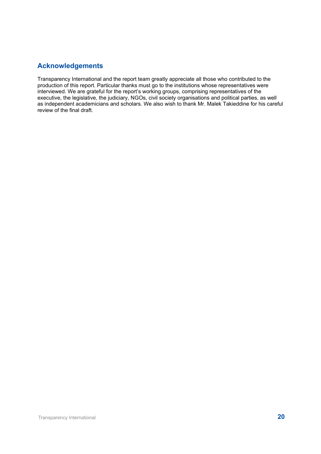### **Acknowledgements**

Transparency International and the report team greatly appreciate all those who contributed to the production of this report. Particular thanks must go to the institutions whose representatives were interviewed. We are grateful for the report's working groups, comprising representatives of the executive, the legislative, the judiciary, NGOs, civil society organisations and political parties, as well as independent academicians and scholars. We also wish to thank Mr. Malek Takieddine for his careful review of the final draft.